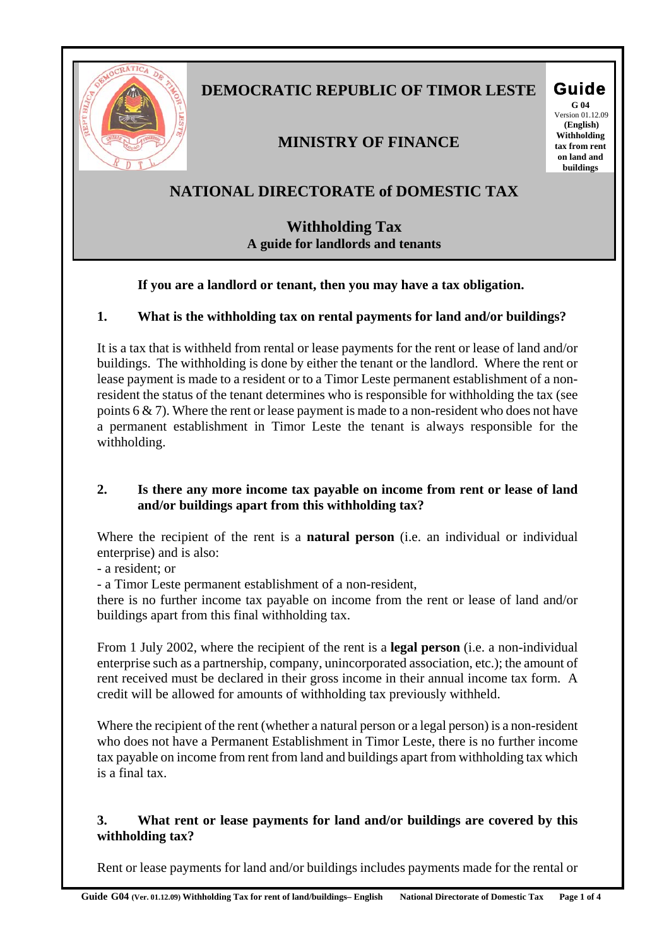

# **DEMOCRATIC REPUBLIC OF TIMOR LESTE Guide**

# **MINISTRY OF FINANCE**

**G 04**  Version 01.12.09  **(English) Withholding tax from rent on land and buildings** 

# **NATIONAL DIRECTORATE of DOMESTIC TAX**

# **Withholding Tax A guide for landlords and tenants**

#### **If you are a landlord or tenant, then you may have a tax obligation.**

#### **1. What is the withholding tax on rental payments for land and/or buildings?**

It is a tax that is withheld from rental or lease payments for the rent or lease of land and/or buildings. The withholding is done by either the tenant or the landlord. Where the rent or lease payment is made to a resident or to a Timor Leste permanent establishment of a nonresident the status of the tenant determines who is responsible for withholding the tax (see points 6 & 7). Where the rent or lease payment is made to a non-resident who does not have a permanent establishment in Timor Leste the tenant is always responsible for the withholding.

#### **2. Is there any more income tax payable on income from rent or lease of land and/or buildings apart from this withholding tax?**

Where the recipient of the rent is a **natural person** (i.e. an individual or individual enterprise) and is also:

- a resident; or

- a Timor Leste permanent establishment of a non-resident,

there is no further income tax payable on income from the rent or lease of land and/or buildings apart from this final withholding tax.

From 1 July 2002, where the recipient of the rent is a **legal person** (i.e. a non-individual enterprise such as a partnership, company, unincorporated association, etc.); the amount of rent received must be declared in their gross income in their annual income tax form. A credit will be allowed for amounts of withholding tax previously withheld.

Where the recipient of the rent (whether a natural person or a legal person) is a non-resident who does not have a Permanent Establishment in Timor Leste, there is no further income tax payable on income from rent from land and buildings apart from withholding tax which is a final tax.

#### **3. What rent or lease payments for land and/or buildings are covered by this withholding tax?**

Rent or lease payments for land and/or buildings includes payments made for the rental or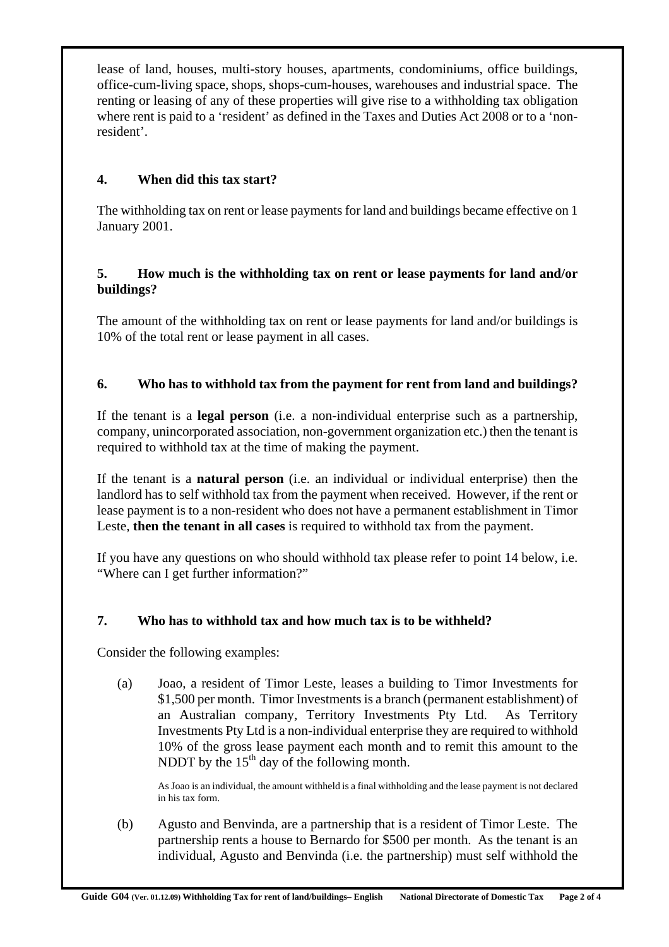lease of land, houses, multi-story houses, apartments, condominiums, office buildings, office-cum-living space, shops, shops-cum-houses, warehouses and industrial space. The renting or leasing of any of these properties will give rise to a withholding tax obligation where rent is paid to a 'resident' as defined in the Taxes and Duties Act 2008 or to a 'nonresident'.

# **4. When did this tax start?**

The withholding tax on rent or lease payments for land and buildings became effective on 1 January 2001.

#### **5. How much is the withholding tax on rent or lease payments for land and/or buildings?**

The amount of the withholding tax on rent or lease payments for land and/or buildings is 10% of the total rent or lease payment in all cases.

## **6. Who has to withhold tax from the payment for rent from land and buildings?**

If the tenant is a **legal person** (i.e. a non-individual enterprise such as a partnership, company, unincorporated association, non-government organization etc.) then the tenant is required to withhold tax at the time of making the payment.

If the tenant is a **natural person** (i.e. an individual or individual enterprise) then the landlord has to self withhold tax from the payment when received. However, if the rent or lease payment is to a non-resident who does not have a permanent establishment in Timor Leste, **then the tenant in all cases** is required to withhold tax from the payment.

If you have any questions on who should withhold tax please refer to point 14 below, i.e. "Where can I get further information?"

## **7. Who has to withhold tax and how much tax is to be withheld?**

Consider the following examples:

(a) Joao, a resident of Timor Leste, leases a building to Timor Investments for \$1,500 per month. Timor Investments is a branch (permanent establishment) of an Australian company, Territory Investments Pty Ltd. As Territory Investments Pty Ltd is a non-individual enterprise they are required to withhold 10% of the gross lease payment each month and to remit this amount to the NDDT by the  $15<sup>th</sup>$  day of the following month.

As Joao is an individual, the amount withheld is a final withholding and the lease payment is not declared in his tax form.

(b) Agusto and Benvinda, are a partnership that is a resident of Timor Leste. The partnership rents a house to Bernardo for \$500 per month. As the tenant is an individual, Agusto and Benvinda (i.e. the partnership) must self withhold the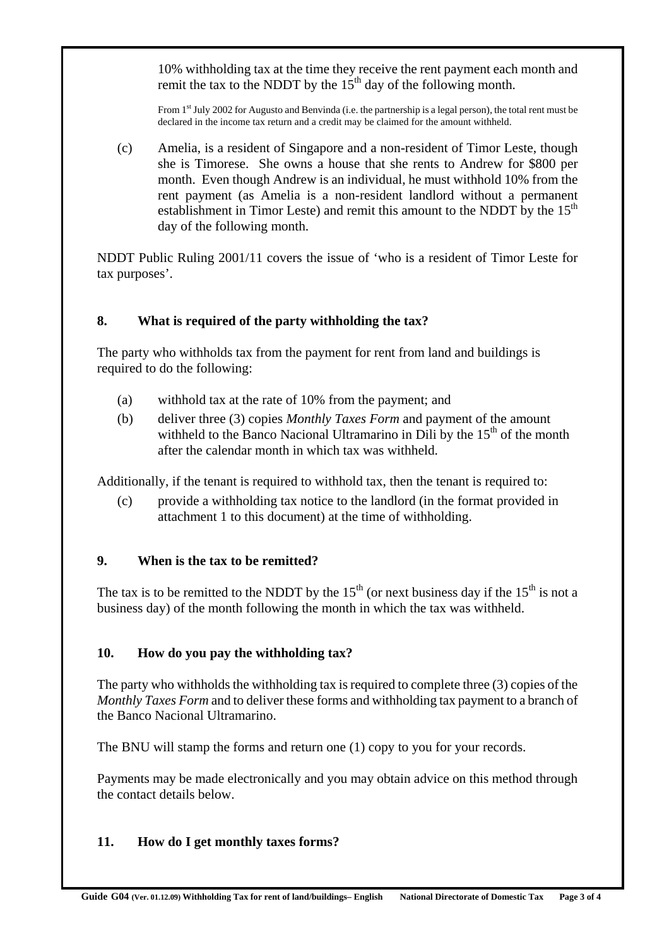10% withholding tax at the time they receive the rent payment each month and remit the tax to the NDDT by the  $15<sup>th</sup>$  day of the following month.

From 1st July 2002 for Augusto and Benvinda (i.e. the partnership is a legal person), the total rent must be declared in the income tax return and a credit may be claimed for the amount withheld.

(c) Amelia, is a resident of Singapore and a non-resident of Timor Leste, though she is Timorese. She owns a house that she rents to Andrew for \$800 per month. Even though Andrew is an individual, he must withhold 10% from the rent payment (as Amelia is a non-resident landlord without a permanent establishment in Timor Leste) and remit this amount to the NDDT by the  $15<sup>th</sup>$ day of the following month.

NDDT Public Ruling 2001/11 covers the issue of 'who is a resident of Timor Leste for tax purposes'.

## **8. What is required of the party withholding the tax?**

The party who withholds tax from the payment for rent from land and buildings is required to do the following:

- (a) withhold tax at the rate of 10% from the payment; and
- (b) deliver three (3) copies *Monthly Taxes Form* and payment of the amount withheld to the Banco Nacional Ultramarino in Dili by the  $15<sup>th</sup>$  of the month after the calendar month in which tax was withheld.

Additionally, if the tenant is required to withhold tax, then the tenant is required to:

(c) provide a withholding tax notice to the landlord (in the format provided in attachment 1 to this document) at the time of withholding.

## **9. When is the tax to be remitted?**

The tax is to be remitted to the NDDT by the  $15<sup>th</sup>$  (or next business day if the  $15<sup>th</sup>$  is not a business day) of the month following the month in which the tax was withheld.

## **10. How do you pay the withholding tax?**

The party who withholds the withholding tax is required to complete three (3) copies of the *Monthly Taxes Form* and to deliver these forms and withholding tax payment to a branch of the Banco Nacional Ultramarino.

The BNU will stamp the forms and return one (1) copy to you for your records.

Payments may be made electronically and you may obtain advice on this method through the contact details below.

## **11. How do I get monthly taxes forms?**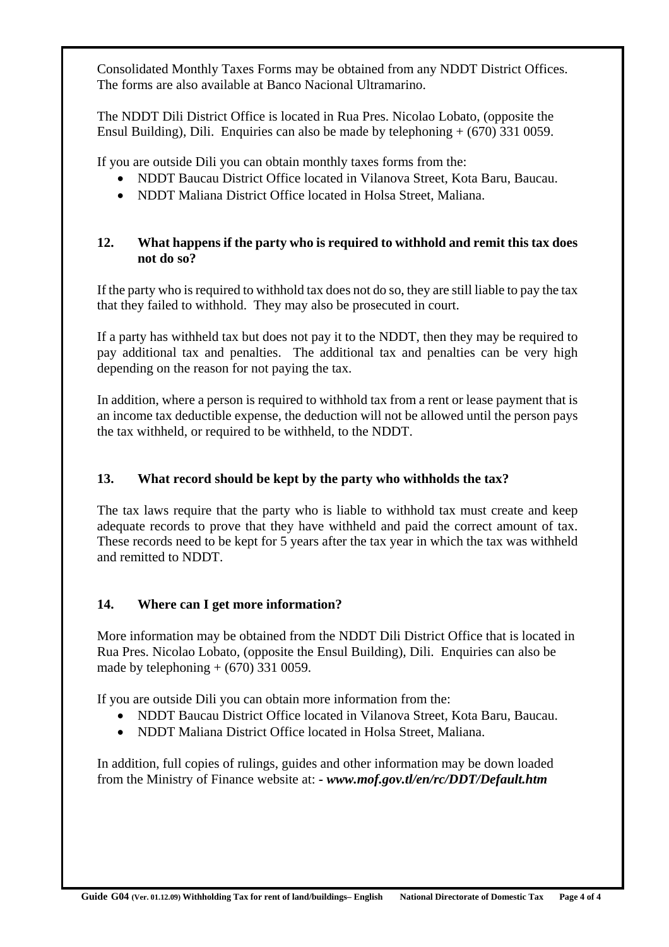Consolidated Monthly Taxes Forms may be obtained from any NDDT District Offices. The forms are also available at Banco Nacional Ultramarino.

The NDDT Dili District Office is located in Rua Pres. Nicolao Lobato, (opposite the Ensul Building), Dili. Enquiries can also be made by telephoning + (670) 331 0059.

If you are outside Dili you can obtain monthly taxes forms from the:

- NDDT Baucau District Office located in Vilanova Street, Kota Baru, Baucau.
- NDDT Maliana District Office located in Holsa Street, Maliana.

#### **12. What happens if the party who is required to withhold and remit this tax does not do so?**

If the party who is required to withhold tax does not do so, they are still liable to pay the tax that they failed to withhold. They may also be prosecuted in court.

If a party has withheld tax but does not pay it to the NDDT, then they may be required to pay additional tax and penalties. The additional tax and penalties can be very high depending on the reason for not paying the tax.

In addition, where a person is required to withhold tax from a rent or lease payment that is an income tax deductible expense, the deduction will not be allowed until the person pays the tax withheld, or required to be withheld, to the NDDT.

## **13. What record should be kept by the party who withholds the tax?**

The tax laws require that the party who is liable to withhold tax must create and keep adequate records to prove that they have withheld and paid the correct amount of tax. These records need to be kept for 5 years after the tax year in which the tax was withheld and remitted to NDDT.

## **14. Where can I get more information?**

More information may be obtained from the NDDT Dili District Office that is located in Rua Pres. Nicolao Lobato, (opposite the Ensul Building), Dili. Enquiries can also be made by telephoning  $+$  (670) 331 0059.

If you are outside Dili you can obtain more information from the:

- NDDT Baucau District Office located in Vilanova Street, Kota Baru, Baucau.
- NDDT Maliana District Office located in Holsa Street, Maliana.

In addition, full copies of rulings, guides and other information may be down loaded from the Ministry of Finance website at: *- www.mof.gov.tl/en/rc/DDT/Default.htm*